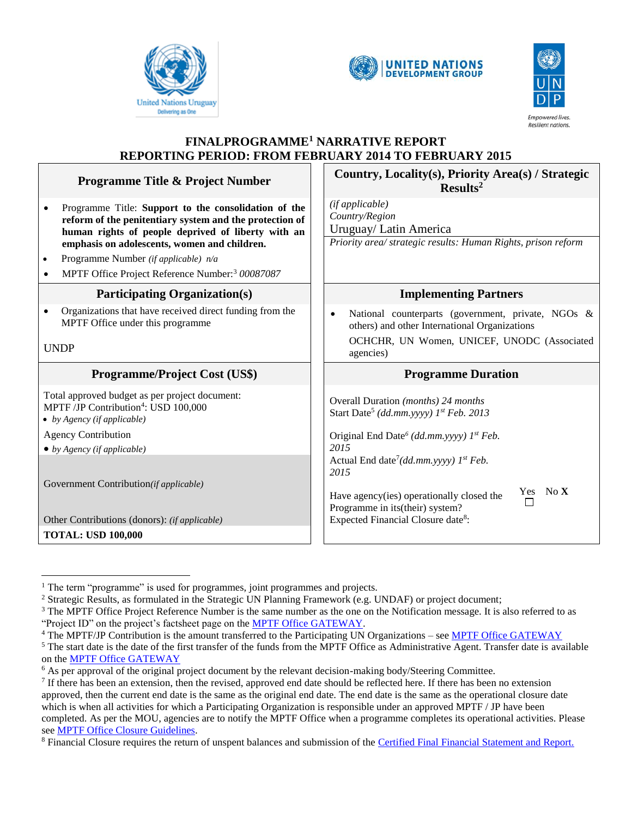





# **FINALPROGRAMME<sup>1</sup> NARRATIVE REPORT REPORTING PERIOD: FROM FEBRUARY 2014 TO FEBRUARY 2015**

|                                              | <b>Programme Title &amp; Project Number</b>                                                                   | Country, Locality(s), Priority Area(s) / Strategic<br>Results <sup>2</sup>                                       |  |
|----------------------------------------------|---------------------------------------------------------------------------------------------------------------|------------------------------------------------------------------------------------------------------------------|--|
|                                              | Programme Title: Support to the consolidation of the                                                          | (if applicable)<br>Country/Region                                                                                |  |
|                                              | reform of the penitentiary system and the protection of<br>human rights of people deprived of liberty with an | Uruguay/ Latin America                                                                                           |  |
| emphasis on adolescents, women and children. |                                                                                                               | Priority area/ strategic results: Human Rights, prison reform                                                    |  |
| $\bullet$                                    | Programme Number (if applicable) n/a                                                                          |                                                                                                                  |  |
| ٠                                            | MPTF Office Project Reference Number: <sup>3</sup> 00087087                                                   |                                                                                                                  |  |
| <b>Participating Organization(s)</b>         |                                                                                                               | <b>Implementing Partners</b>                                                                                     |  |
|                                              | Organizations that have received direct funding from the<br>MPTF Office under this programme                  | National counterparts (government, private, NGOs &<br>$\bullet$<br>others) and other International Organizations |  |
| <b>UNDP</b>                                  |                                                                                                               | OCHCHR, UN Women, UNICEF, UNODC (Associated<br>agencies)                                                         |  |
|                                              |                                                                                                               |                                                                                                                  |  |
|                                              | <b>Programme/Project Cost (US\$)</b>                                                                          | <b>Programme Duration</b>                                                                                        |  |
|                                              | Total approved budget as per project document:                                                                | Overall Duration (months) 24 months                                                                              |  |
|                                              | MPTF /JP Contribution <sup>4</sup> : USD 100,000<br>• by Agency (if applicable)                               | Start Date <sup>5</sup> (dd.mm.yyyy) 1st Feb. 2013                                                               |  |
|                                              | <b>Agency Contribution</b>                                                                                    | Original End Date <sup>6</sup> (dd.mm.yyyy) 1 <sup>st</sup> Feb.                                                 |  |
|                                              | $\bullet$ by Agency (if applicable)                                                                           | 2015                                                                                                             |  |
|                                              |                                                                                                               | Actual End date <sup>7</sup> (dd.mm.yyyy) $1^{st} Feb$ .                                                         |  |
|                                              |                                                                                                               | 2015                                                                                                             |  |
|                                              | Government Contribution(if applicable)                                                                        | Yes No X<br>Have agency(ies) operationally closed the                                                            |  |
|                                              |                                                                                                               | П<br>Programme in its(their) system?                                                                             |  |
|                                              | Other Contributions (donors): (if applicable)<br><b>TOTAL: USD 100,000</b>                                    | Expected Financial Closure date <sup>8</sup> :                                                                   |  |

 $\overline{a}$ <sup>1</sup> The term "programme" is used for programmes, joint programmes and projects.

<sup>2</sup> Strategic Results, as formulated in the Strategic UN Planning Framework (e.g. UNDAF) or project document;

<sup>&</sup>lt;sup>3</sup> The MPTF Office Project Reference Number is the same number as the one on the Notification message. It is also referred to as "Project ID" on the project's factsheet page on the [MPTF Office GATEWAY.](http://mdtf.undp.org/)

<sup>&</sup>lt;sup>4</sup> The MPTF/JP Contribution is the amount transferred to the Participating UN Organizations – se[e MPTF Office GATEWAY](http://mdtf.undp.org/)

 $<sup>5</sup>$  The start date is the date of the first transfer of the funds from the MPTF Office as Administrative Agent. Transfer date is available</sup> on the [MPTF Office GATEWAY](http://mdtf.undp.org/)

<sup>&</sup>lt;sup>6</sup> As per approval of the original project document by the relevant decision-making body/Steering Committee.

 $<sup>7</sup>$  If there has been an extension, then the revised, approved end date should be reflected here. If there has been no extension</sup> approved, then the current end date is the same as the original end date. The end date is the same as the operational closure date which is when all activities for which a Participating Organization is responsible under an approved MPTF / JP have been completed. As per the MOU, agencies are to notify the MPTF Office when a programme completes its operational activities. Please se[e MPTF Office Closure Guidelines.](http://mdtf.undp.org/document/download/5449)

<sup>&</sup>lt;sup>8</sup> Financial Closure requires the return of unspent balances and submission of the [Certified Final Financial Statement and Report.](http://mdtf.undp.org/document/download/5388)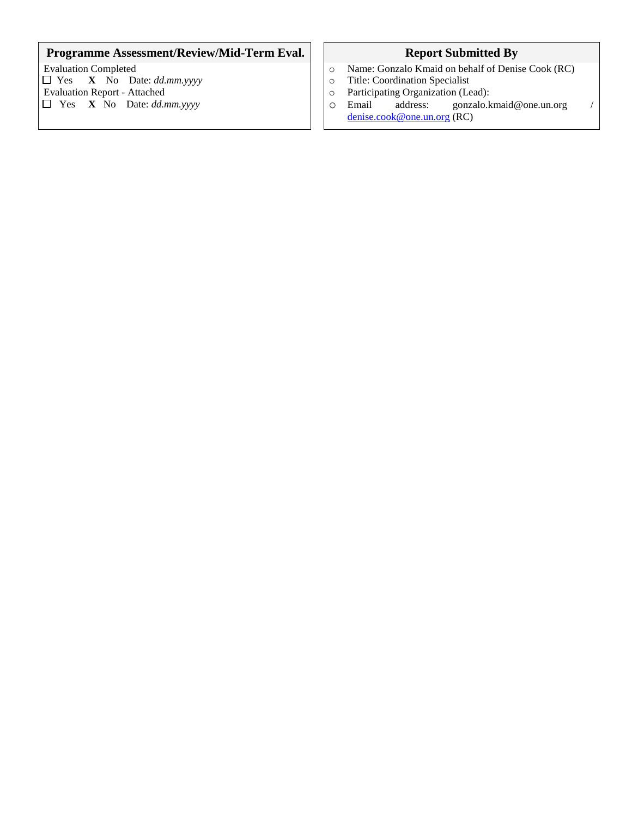# **Programme Assessment/Review/Mid-Term Eval. Report Submitted By**

Evaluation Completed  $\Box$  Yes **X** No Date: *dd.mm.yyyy* Evaluation Report - Attached Yes **X** No Date: *dd.mm.yyyy*

- o Name: Gonzalo Kmaid on behalf of Denise Cook (RC)
- o Title: Coordination Specialist
- o Participating Organization (Lead):
- o Email address: gonzalo.kmaid@one.un.org / [denise.cook@one.un.org](mailto:denise.cook@one.un.org) (RC)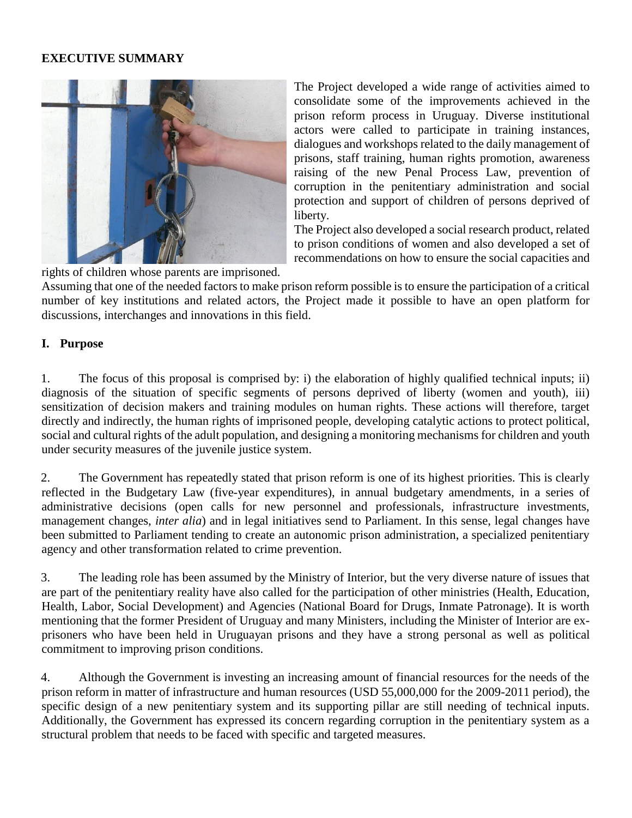### **EXECUTIVE SUMMARY**



The Project developed a wide range of activities aimed to consolidate some of the improvements achieved in the prison reform process in Uruguay. Diverse institutional actors were called to participate in training instances, dialogues and workshops related to the daily management of prisons, staff training, human rights promotion, awareness raising of the new Penal Process Law, prevention of corruption in the penitentiary administration and social protection and support of children of persons deprived of liberty.

The Project also developed a social research product, related to prison conditions of women and also developed a set of recommendations on how to ensure the social capacities and

rights of children whose parents are imprisoned.

Assuming that one of the needed factors to make prison reform possible is to ensure the participation of a critical number of key institutions and related actors, the Project made it possible to have an open platform for discussions, interchanges and innovations in this field.

#### **I. Purpose**

1. The focus of this proposal is comprised by: i) the elaboration of highly qualified technical inputs; ii) diagnosis of the situation of specific segments of persons deprived of liberty (women and youth), iii) sensitization of decision makers and training modules on human rights. These actions will therefore, target directly and indirectly, the human rights of imprisoned people, developing catalytic actions to protect political, social and cultural rights of the adult population, and designing a monitoring mechanisms for children and youth under security measures of the juvenile justice system.

2. The Government has repeatedly stated that prison reform is one of its highest priorities. This is clearly reflected in the Budgetary Law (five-year expenditures), in annual budgetary amendments, in a series of administrative decisions (open calls for new personnel and professionals, infrastructure investments, management changes, *inter alia*) and in legal initiatives send to Parliament. In this sense, legal changes have been submitted to Parliament tending to create an autonomic prison administration, a specialized penitentiary agency and other transformation related to crime prevention.

3. The leading role has been assumed by the Ministry of Interior, but the very diverse nature of issues that are part of the penitentiary reality have also called for the participation of other ministries (Health, Education, Health, Labor, Social Development) and Agencies (National Board for Drugs, Inmate Patronage). It is worth mentioning that the former President of Uruguay and many Ministers, including the Minister of Interior are exprisoners who have been held in Uruguayan prisons and they have a strong personal as well as political commitment to improving prison conditions.

4. Although the Government is investing an increasing amount of financial resources for the needs of the prison reform in matter of infrastructure and human resources (USD 55,000,000 for the 2009-2011 period), the specific design of a new penitentiary system and its supporting pillar are still needing of technical inputs. Additionally, the Government has expressed its concern regarding corruption in the penitentiary system as a structural problem that needs to be faced with specific and targeted measures.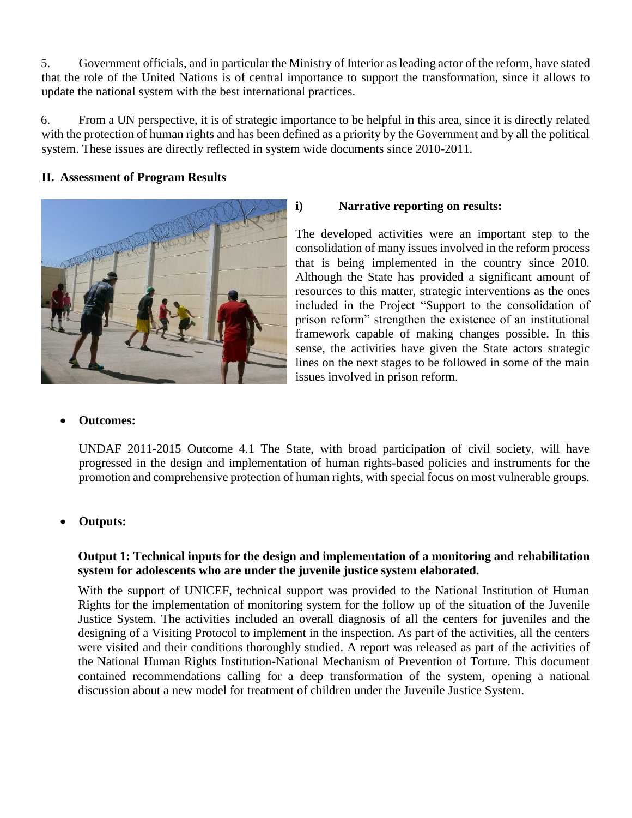5. Government officials, and in particular the Ministry of Interior as leading actor of the reform, have stated that the role of the United Nations is of central importance to support the transformation, since it allows to update the national system with the best international practices.

6. From a UN perspective, it is of strategic importance to be helpful in this area, since it is directly related with the protection of human rights and has been defined as a priority by the Government and by all the political system. These issues are directly reflected in system wide documents since 2010-2011.

### **II. Assessment of Program Results**



### **i) Narrative reporting on results:**

The developed activities were an important step to the consolidation of many issues involved in the reform process that is being implemented in the country since 2010. Although the State has provided a significant amount of resources to this matter, strategic interventions as the ones included in the Project "Support to the consolidation of prison reform" strengthen the existence of an institutional framework capable of making changes possible. In this sense, the activities have given the State actors strategic lines on the next stages to be followed in some of the main issues involved in prison reform.

# **Outcomes:**

UNDAF 2011-2015 Outcome 4.1 The State, with broad participation of civil society, will have progressed in the design and implementation of human rights-based policies and instruments for the promotion and comprehensive protection of human rights, with special focus on most vulnerable groups.

# **Outputs:**

# **Output 1: Technical inputs for the design and implementation of a monitoring and rehabilitation system for adolescents who are under the juvenile justice system elaborated.**

With the support of UNICEF, technical support was provided to the National Institution of Human Rights for the implementation of monitoring system for the follow up of the situation of the Juvenile Justice System. The activities included an overall diagnosis of all the centers for juveniles and the designing of a Visiting Protocol to implement in the inspection. As part of the activities, all the centers were visited and their conditions thoroughly studied. A report was released as part of the activities of the National Human Rights Institution-National Mechanism of Prevention of Torture. This document contained recommendations calling for a deep transformation of the system, opening a national discussion about a new model for treatment of children under the Juvenile Justice System.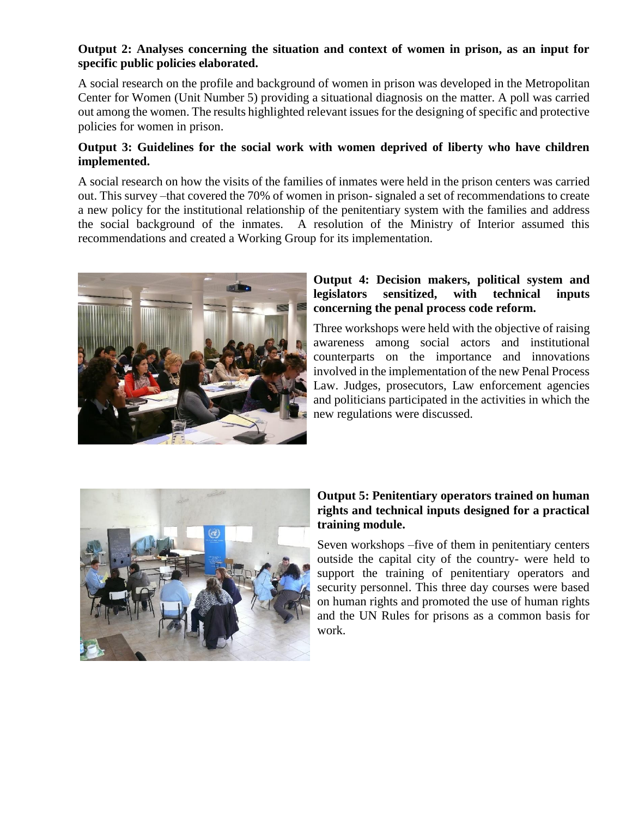### **Output 2: Analyses concerning the situation and context of women in prison, as an input for specific public policies elaborated.**

A social research on the profile and background of women in prison was developed in the Metropolitan Center for Women (Unit Number 5) providing a situational diagnosis on the matter. A poll was carried out among the women. The results highlighted relevant issues for the designing of specific and protective policies for women in prison.

#### **Output 3: Guidelines for the social work with women deprived of liberty who have children implemented.**

A social research on how the visits of the families of inmates were held in the prison centers was carried out. This survey –that covered the 70% of women in prison- signaled a set of recommendations to create a new policy for the institutional relationship of the penitentiary system with the families and address the social background of the inmates. A resolution of the Ministry of Interior assumed this recommendations and created a Working Group for its implementation.



### **Output 4: Decision makers, political system and legislators sensitized, with technical inputs concerning the penal process code reform.**

Three workshops were held with the objective of raising awareness among social actors and institutional counterparts on the importance and innovations involved in the implementation of the new Penal Process Law. Judges, prosecutors, Law enforcement agencies and politicians participated in the activities in which the new regulations were discussed.



# **Output 5: Penitentiary operators trained on human rights and technical inputs designed for a practical training module.**

Seven workshops –five of them in penitentiary centers outside the capital city of the country- were held to support the training of penitentiary operators and security personnel. This three day courses were based on human rights and promoted the use of human rights and the UN Rules for prisons as a common basis for work.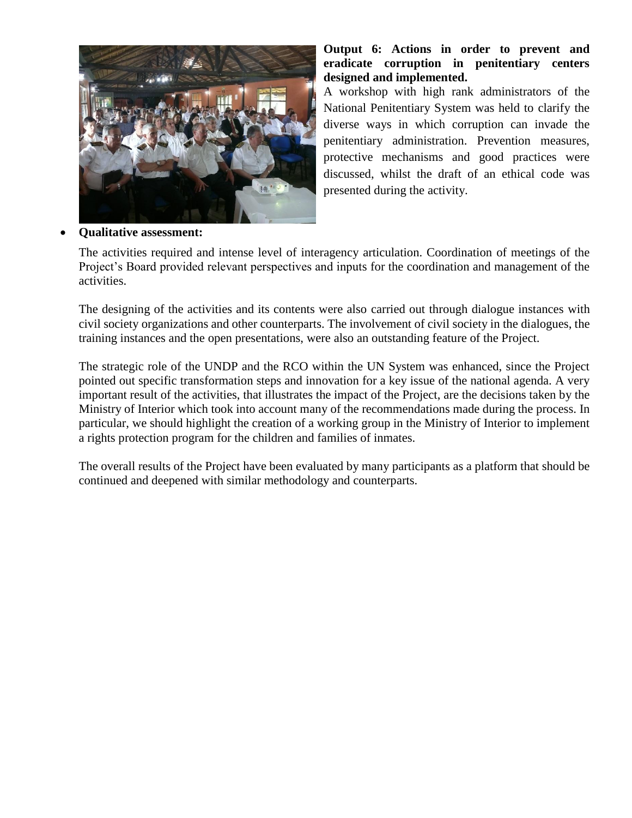

#### **Output 6: Actions in order to prevent and eradicate corruption in penitentiary centers designed and implemented.**

A workshop with high rank administrators of the National Penitentiary System was held to clarify the diverse ways in which corruption can invade the penitentiary administration. Prevention measures, protective mechanisms and good practices were discussed, whilst the draft of an ethical code was presented during the activity.

### **Qualitative assessment:**

The activities required and intense level of interagency articulation. Coordination of meetings of the Project's Board provided relevant perspectives and inputs for the coordination and management of the activities.

The designing of the activities and its contents were also carried out through dialogue instances with civil society organizations and other counterparts. The involvement of civil society in the dialogues, the training instances and the open presentations, were also an outstanding feature of the Project.

The strategic role of the UNDP and the RCO within the UN System was enhanced, since the Project pointed out specific transformation steps and innovation for a key issue of the national agenda. A very important result of the activities, that illustrates the impact of the Project, are the decisions taken by the Ministry of Interior which took into account many of the recommendations made during the process. In particular, we should highlight the creation of a working group in the Ministry of Interior to implement a rights protection program for the children and families of inmates.

The overall results of the Project have been evaluated by many participants as a platform that should be continued and deepened with similar methodology and counterparts.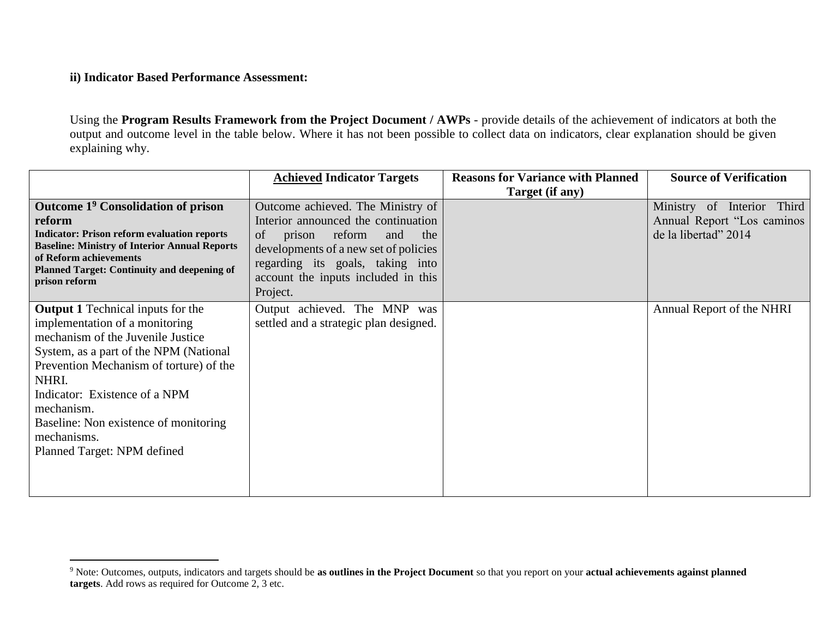# **ii) Indicator Based Performance Assessment:**

 $\overline{a}$ 

Using the **Program Results Framework from the Project Document / AWPs** - provide details of the achievement of indicators at both the output and outcome level in the table below. Where it has not been possible to collect data on indicators, clear explanation should be given explaining why.

|                                                                                                                                                                                                                                                                                                                                                     | <b>Achieved Indicator Targets</b>                                                                                                                                                                                                                | <b>Reasons for Variance with Planned</b> | <b>Source of Verification</b>                                                     |
|-----------------------------------------------------------------------------------------------------------------------------------------------------------------------------------------------------------------------------------------------------------------------------------------------------------------------------------------------------|--------------------------------------------------------------------------------------------------------------------------------------------------------------------------------------------------------------------------------------------------|------------------------------------------|-----------------------------------------------------------------------------------|
|                                                                                                                                                                                                                                                                                                                                                     |                                                                                                                                                                                                                                                  | Target (if any)                          |                                                                                   |
| Outcome 1 <sup>9</sup> Consolidation of prison<br>reform<br><b>Indicator: Prison reform evaluation reports</b><br><b>Baseline: Ministry of Interior Annual Reports</b><br>of Reform achievements<br><b>Planned Target: Continuity and deepening of</b><br>prison reform                                                                             | Outcome achieved. The Ministry of<br>Interior announced the continuation<br>reform<br>of<br>and<br>the<br>prison<br>developments of a new set of policies<br>regarding its goals, taking into<br>account the inputs included in this<br>Project. |                                          | Ministry of Interior Third<br>Annual Report "Los caminos"<br>de la libertad" 2014 |
| <b>Output 1</b> Technical inputs for the<br>implementation of a monitoring<br>mechanism of the Juvenile Justice<br>System, as a part of the NPM (National<br>Prevention Mechanism of torture) of the<br>NHRI.<br>Indicator: Existence of a NPM<br>mechanism.<br>Baseline: Non existence of monitoring<br>mechanisms.<br>Planned Target: NPM defined | Output achieved. The MNP was<br>settled and a strategic plan designed.                                                                                                                                                                           |                                          | Annual Report of the NHRI                                                         |

<sup>9</sup> Note: Outcomes, outputs, indicators and targets should be **as outlines in the Project Document** so that you report on your **actual achievements against planned targets**. Add rows as required for Outcome 2, 3 etc.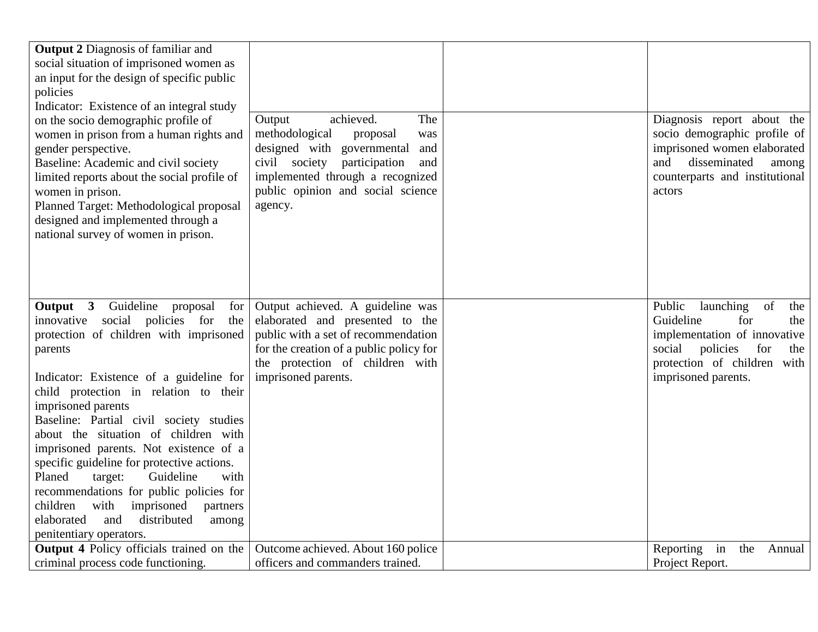| <b>Output 2 Diagnosis of familiar and</b><br>social situation of imprisoned women as |                                                                        |                                  |
|--------------------------------------------------------------------------------------|------------------------------------------------------------------------|----------------------------------|
| an input for the design of specific public                                           |                                                                        |                                  |
| policies                                                                             |                                                                        |                                  |
| Indicator: Existence of an integral study<br>on the socio demographic profile of     | achieved.<br>The<br>Output                                             | Diagnosis report about the       |
| women in prison from a human rights and                                              | methodological<br>proposal<br>was                                      | socio demographic profile of     |
| gender perspective.                                                                  | designed with governmental<br>and                                      | imprisoned women elaborated      |
| Baseline: Academic and civil society                                                 | civil society<br>participation<br>and                                  | disseminated<br>and<br>among     |
| limited reports about the social profile of                                          | implemented through a recognized                                       | counterparts and institutional   |
| women in prison.                                                                     | public opinion and social science                                      | actors                           |
| Planned Target: Methodological proposal                                              | agency.                                                                |                                  |
| designed and implemented through a                                                   |                                                                        |                                  |
| national survey of women in prison.                                                  |                                                                        |                                  |
|                                                                                      |                                                                        |                                  |
|                                                                                      |                                                                        |                                  |
|                                                                                      |                                                                        |                                  |
| Guideline<br>Output 3<br>proposal<br>for                                             | Output achieved. A guideline was                                       | Public<br>launching<br>of<br>the |
| social policies for<br>innovative<br>the                                             | elaborated and presented to the                                        | Guideline<br>for<br>the          |
| protection of children with imprisoned                                               | public with a set of recommendation                                    | implementation of innovative     |
| parents                                                                              | for the creation of a public policy for                                | social<br>for<br>policies<br>the |
|                                                                                      | the protection of children with                                        | protection of children with      |
| Indicator: Existence of a guideline for                                              | imprisoned parents.                                                    | imprisoned parents.              |
| child protection in relation to their                                                |                                                                        |                                  |
| imprisoned parents                                                                   |                                                                        |                                  |
| Baseline: Partial civil society studies                                              |                                                                        |                                  |
| about the situation of children with                                                 |                                                                        |                                  |
| imprisoned parents. Not existence of a                                               |                                                                        |                                  |
| specific guideline for protective actions.                                           |                                                                        |                                  |
| Planed<br>Guideline<br>target:<br>with                                               |                                                                        |                                  |
| recommendations for public policies for                                              |                                                                        |                                  |
| children<br>with<br>imprisoned<br>partners                                           |                                                                        |                                  |
| distributed<br>elaborated<br>and<br>among                                            |                                                                        |                                  |
| penitentiary operators.                                                              |                                                                        |                                  |
| <b>Output 4 Policy officials trained on the</b>                                      | Outcome achieved. About 160 police<br>officers and commanders trained. | Reporting<br>in<br>the<br>Annual |
| criminal process code functioning.                                                   |                                                                        | Project Report.                  |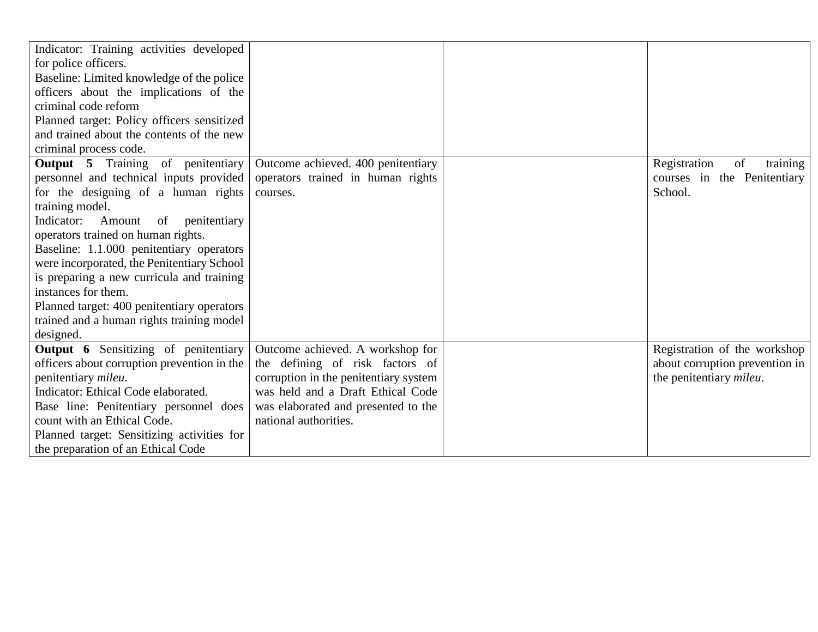| Indicator: Training activities developed    |                                       |                                 |
|---------------------------------------------|---------------------------------------|---------------------------------|
| for police officers.                        |                                       |                                 |
| Baseline: Limited knowledge of the police   |                                       |                                 |
| officers about the implications of the      |                                       |                                 |
| criminal code reform                        |                                       |                                 |
| Planned target: Policy officers sensitized  |                                       |                                 |
| and trained about the contents of the new   |                                       |                                 |
| criminal process code.                      |                                       |                                 |
| <b>Output 5</b> Training of penitentiary    | Outcome achieved. 400 penitentiary    | of<br>Registration<br>training  |
| personnel and technical inputs provided     | operators trained in human rights     | courses in the Penitentiary     |
| for the designing of a human rights         | courses.                              | School.                         |
| training model.                             |                                       |                                 |
| Indicator:<br>Amount of penitentiary        |                                       |                                 |
| operators trained on human rights.          |                                       |                                 |
| Baseline: 1.1.000 penitentiary operators    |                                       |                                 |
| were incorporated, the Penitentiary School  |                                       |                                 |
| is preparing a new curricula and training   |                                       |                                 |
| instances for them.                         |                                       |                                 |
| Planned target: 400 penitentiary operators  |                                       |                                 |
| trained and a human rights training model   |                                       |                                 |
| designed.                                   |                                       |                                 |
| <b>Output 6</b> Sensitizing of penitentiary | Outcome achieved. A workshop for      | Registration of the workshop    |
| officers about corruption prevention in the | the defining of risk factors of       | about corruption prevention in  |
| penitentiary mileu.                         | corruption in the penitentiary system | the penitentiary <i>mileu</i> . |
| Indicator: Ethical Code elaborated.         | was held and a Draft Ethical Code     |                                 |
| Base line: Penitentiary personnel does      | was elaborated and presented to the   |                                 |
| count with an Ethical Code.                 | national authorities.                 |                                 |
| Planned target: Sensitizing activities for  |                                       |                                 |
| the preparation of an Ethical Code          |                                       |                                 |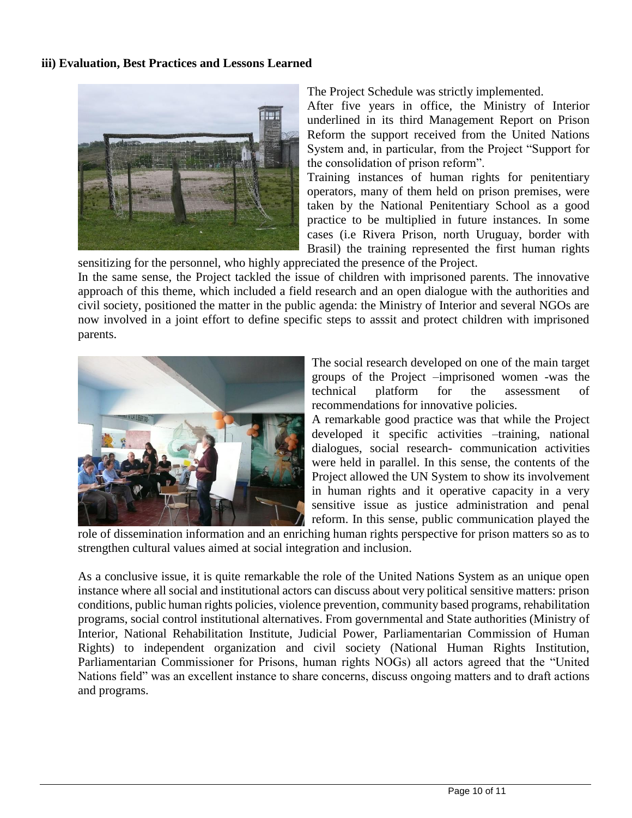#### **iii) Evaluation, Best Practices and Lessons Learned**



The Project Schedule was strictly implemented.

After five years in office, the Ministry of Interior underlined in its third Management Report on Prison Reform the support received from the United Nations System and, in particular, from the Project "Support for the consolidation of prison reform".

Training instances of human rights for penitentiary operators, many of them held on prison premises, were taken by the National Penitentiary School as a good practice to be multiplied in future instances. In some cases (i.e Rivera Prison, north Uruguay, border with Brasil) the training represented the first human rights

sensitizing for the personnel, who highly appreciated the presence of the Project. In the same sense, the Project tackled the issue of children with imprisoned parents. The innovative approach of this theme, which included a field research and an open dialogue with the authorities and civil society, positioned the matter in the public agenda: the Ministry of Interior and several NGOs are now involved in a joint effort to define specific steps to asssit and protect children with imprisoned parents.



The social research developed on one of the main target groups of the Project –imprisoned women -was the technical platform for the assessment of recommendations for innovative policies.

A remarkable good practice was that while the Project developed it specific activities –training, national dialogues, social research- communication activities were held in parallel. In this sense, the contents of the Project allowed the UN System to show its involvement in human rights and it operative capacity in a very sensitive issue as justice administration and penal reform. In this sense, public communication played the

role of dissemination information and an enriching human rights perspective for prison matters so as to strengthen cultural values aimed at social integration and inclusion.

As a conclusive issue, it is quite remarkable the role of the United Nations System as an unique open instance where all social and institutional actors can discuss about very political sensitive matters: prison conditions, public human rights policies, violence prevention, community based programs, rehabilitation programs, social control institutional alternatives. From governmental and State authorities (Ministry of Interior, National Rehabilitation Institute, Judicial Power, Parliamentarian Commission of Human Rights) to independent organization and civil society (National Human Rights Institution, Parliamentarian Commissioner for Prisons, human rights NOGs) all actors agreed that the "United Nations field" was an excellent instance to share concerns, discuss ongoing matters and to draft actions and programs.